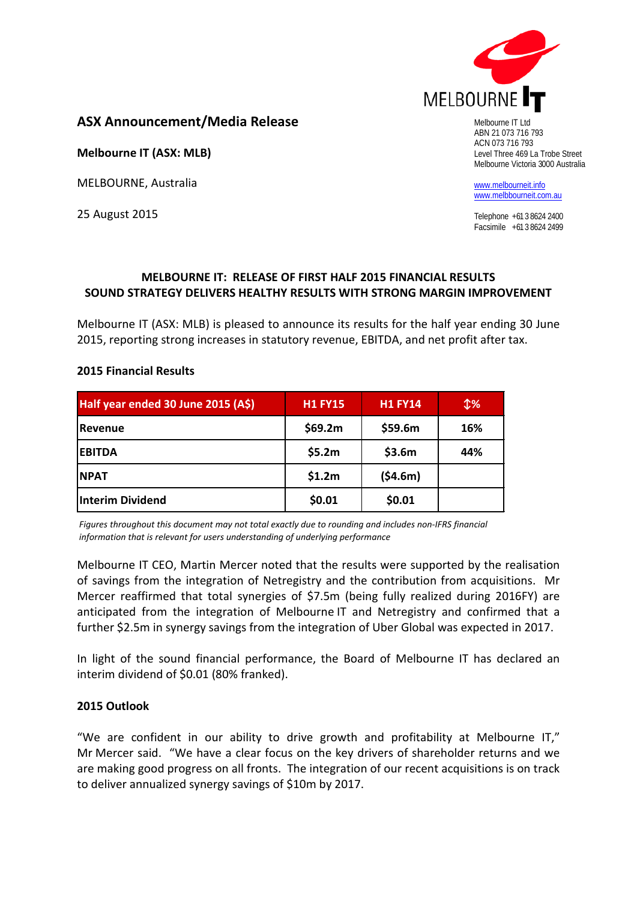

# **ASX Announcement/Media Release**

**Melbourne IT (ASX: MLB)**

MELBOURNE, Australia

25 August 2015

Melbourne IT Ltd ABN 21 073 716 793 ACN 073 716 793 Level Three 469 La Trobe Street Melbourne Victoria 3000 Australia

[www.melbourneit.info](http://www.melbourneit.info/) [www.melbbourneit.com.au](http://www.melbbourneit.com.au/)

Telephone +61 3 8624 2400 Facsimile +61 3 8624 2499

## **MELBOURNE IT: RELEASE OF FIRST HALF 2015 FINANCIAL RESULTS SOUND STRATEGY DELIVERS HEALTHY RESULTS WITH STRONG MARGIN IMPROVEMENT**

Melbourne IT (ASX: MLB) is pleased to announce its results for the half year ending 30 June 2015, reporting strong increases in statutory revenue, EBITDA, and net profit after tax.

### **2015 Financial Results**

| Half year ended 30 June 2015 (A\$) | <b>H1 FY15</b> | <b>H1 FY14</b> | $1$ % |
|------------------------------------|----------------|----------------|-------|
| Revenue                            | \$69.2m        | \$59.6m        | 16%   |
| <b>EBITDA</b>                      | \$5.2m         | \$3.6m         | 44%   |
| <b>NPAT</b>                        | \$1.2m         | (54.6m)        |       |
| <b>Interim Dividend</b>            | \$0.01         | \$0.01         |       |

*Figures throughout this document may not total exactly due to rounding and includes non-IFRS financial information that is relevant for users understanding of underlying performance*

Melbourne IT CEO, Martin Mercer noted that the results were supported by the realisation of savings from the integration of Netregistry and the contribution from acquisitions. Mr Mercer reaffirmed that total synergies of \$7.5m (being fully realized during 2016FY) are anticipated from the integration of Melbourne IT and Netregistry and confirmed that a further \$2.5m in synergy savings from the integration of Uber Global was expected in 2017.

In light of the sound financial performance, the Board of Melbourne IT has declared an interim dividend of \$0.01 (80% franked).

### **2015 Outlook**

"We are confident in our ability to drive growth and profitability at Melbourne IT," Mr Mercer said. "We have a clear focus on the key drivers of shareholder returns and we are making good progress on all fronts. The integration of our recent acquisitions is on track to deliver annualized synergy savings of \$10m by 2017.